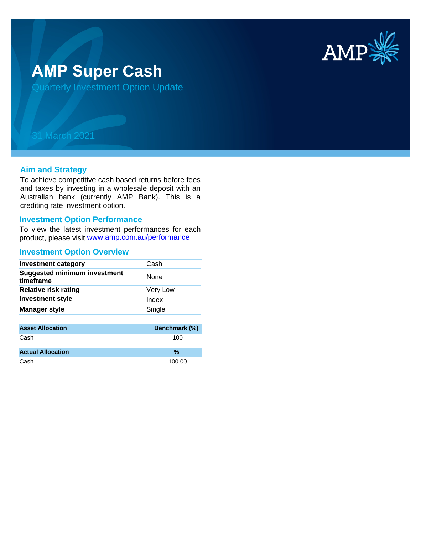

# **AMP Super Cash**

Quarterly Investment Option Update

## 31 March 2021

### **Aim and Strategy**

To achieve competitive cash based returns before fees and taxes by investing in a wholesale deposit with an Australian bank (currently AMP Bank). This is a crediting rate investment option.

#### **Investment Option Performance**

product, please visit www.amp.com.au/performance To view the latest investment performances for each

#### **Investment Option Overview**

| <b>Investment category</b>                       | Cash        |
|--------------------------------------------------|-------------|
| <b>Suggested minimum investment</b><br>timeframe | <b>None</b> |
| <b>Relative risk rating</b>                      | Very Low    |
| <b>Investment style</b>                          | Index       |
| <b>Manager style</b>                             | Single      |
|                                                  |             |

| <b>Asset Allocation</b>  | <b>Benchmark (%)</b> |
|--------------------------|----------------------|
| Cash                     | 100                  |
|                          |                      |
| <b>Actual Allocation</b> | %                    |
| Cash                     | 100.00               |